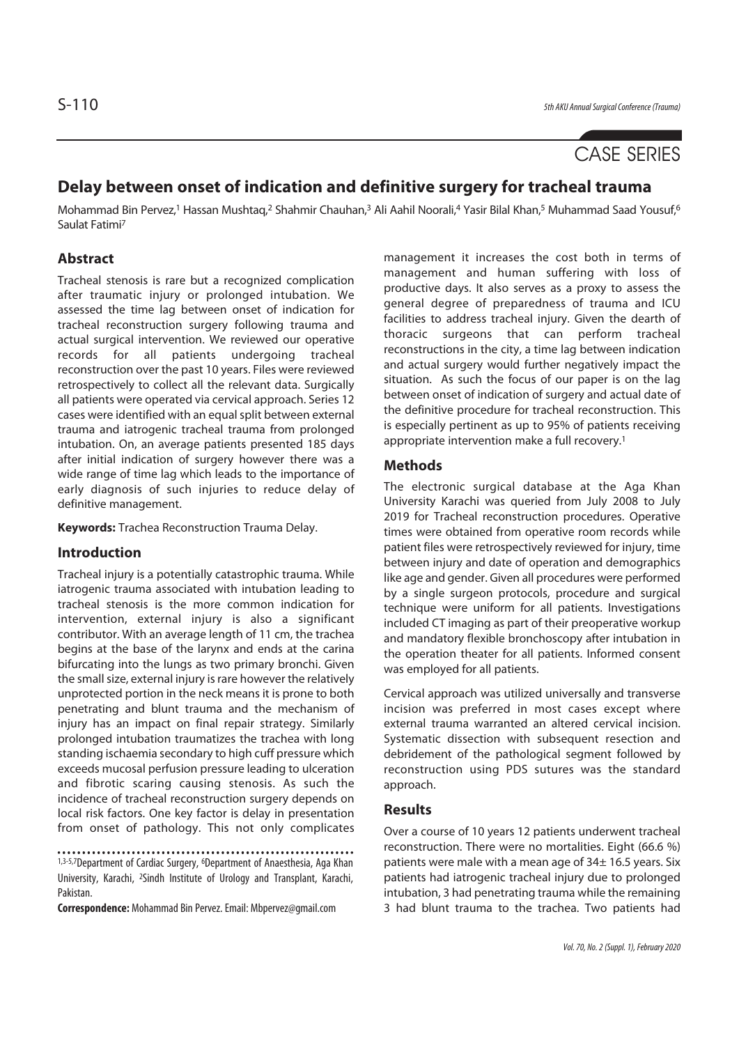# CASE SERIES

# **Delay between onset of indication and definitive surgery for tracheal trauma**

Mohammad Bin Pervez,<sup>1</sup> Hassan Mushtaq,<sup>2</sup> Shahmir Chauhan,<sup>3</sup> Ali Aahil Noorali,4 Yasir Bilal Khan,<sup>5</sup> Muhammad Saad Yousuf,<sup>6</sup> Saulat Fatimi7

# **Abstract**

Tracheal stenosis is rare but a recognized complication after traumatic injury or prolonged intubation. We assessed the time lag between onset of indication for tracheal reconstruction surgery following trauma and actual surgical intervention. We reviewed our operative records for all patients undergoing tracheal reconstruction over the past 10 years. Files were reviewed retrospectively to collect all the relevant data. Surgically all patients were operated via cervical approach. Series 12 cases were identified with an equal split between external trauma and iatrogenic tracheal trauma from prolonged intubation. On, an average patients presented 185 days after initial indication of surgery however there was a wide range of time lag which leads to the importance of early diagnosis of such injuries to reduce delay of definitive management.

**Keywords:** Trachea Reconstruction Trauma Delay.

## **Introduction**

Tracheal injury is a potentially catastrophic trauma. While iatrogenic trauma associated with intubation leading to tracheal stenosis is the more common indication for intervention, external injury is also a significant contributor. With an average length of 11 cm, the trachea begins at the base of the larynx and ends at the carina bifurcating into the lungs as two primary bronchi. Given the small size, external injury is rare however the relatively unprotected portion in the neck means it is prone to both penetrating and blunt trauma and the mechanism of injury has an impact on final repair strategy. Similarly prolonged intubation traumatizes the trachea with long standing ischaemia secondary to high cuff pressure which exceeds mucosal perfusion pressure leading to ulceration and fibrotic scaring causing stenosis. As such the incidence of tracheal reconstruction surgery depends on local risk factors. One key factor is delay in presentation from onset of pathology. This not only complicates

1,3-5,7Department of Cardiac Surgery, 6Department of Anaesthesia, Aga Khan University, Karachi, 2Sindh Institute of Urology and Transplant, Karachi, Pakistan.

**Correspondence:** Mohammad Bin Pervez. Email: Mbpervez@gmail.com

management it increases the cost both in terms of management and human suffering with loss of productive days. It also serves as a proxy to assess the general degree of preparedness of trauma and ICU facilities to address tracheal injury. Given the dearth of thoracic surgeons that can perform tracheal reconstructions in the city, a time lag between indication and actual surgery would further negatively impact the situation. As such the focus of our paper is on the lag between onset of indication of surgery and actual date of the definitive procedure for tracheal reconstruction. This is especially pertinent as up to 95% of patients receiving appropriate intervention make a full recovery.1

#### **Methods**

The electronic surgical database at the Aga Khan University Karachi was queried from July 2008 to July 2019 for Tracheal reconstruction procedures. Operative times were obtained from operative room records while patient files were retrospectively reviewed for injury, time between injury and date of operation and demographics like age and gender. Given all procedures were performed by a single surgeon protocols, procedure and surgical technique were uniform for all patients. Investigations included CT imaging as part of their preoperative workup and mandatory flexible bronchoscopy after intubation in the operation theater for all patients. Informed consent was employed for all patients.

Cervical approach was utilized universally and transverse incision was preferred in most cases except where external trauma warranted an altered cervical incision. Systematic dissection with subsequent resection and debridement of the pathological segment followed by reconstruction using PDS sutures was the standard approach.

#### **Results**

Over a course of 10 years 12 patients underwent tracheal reconstruction. There were no mortalities. Eight (66.6 %) patients were male with a mean age of 34± 16.5 years. Six patients had iatrogenic tracheal injury due to prolonged intubation, 3 had penetrating trauma while the remaining 3 had blunt trauma to the trachea. Two patients had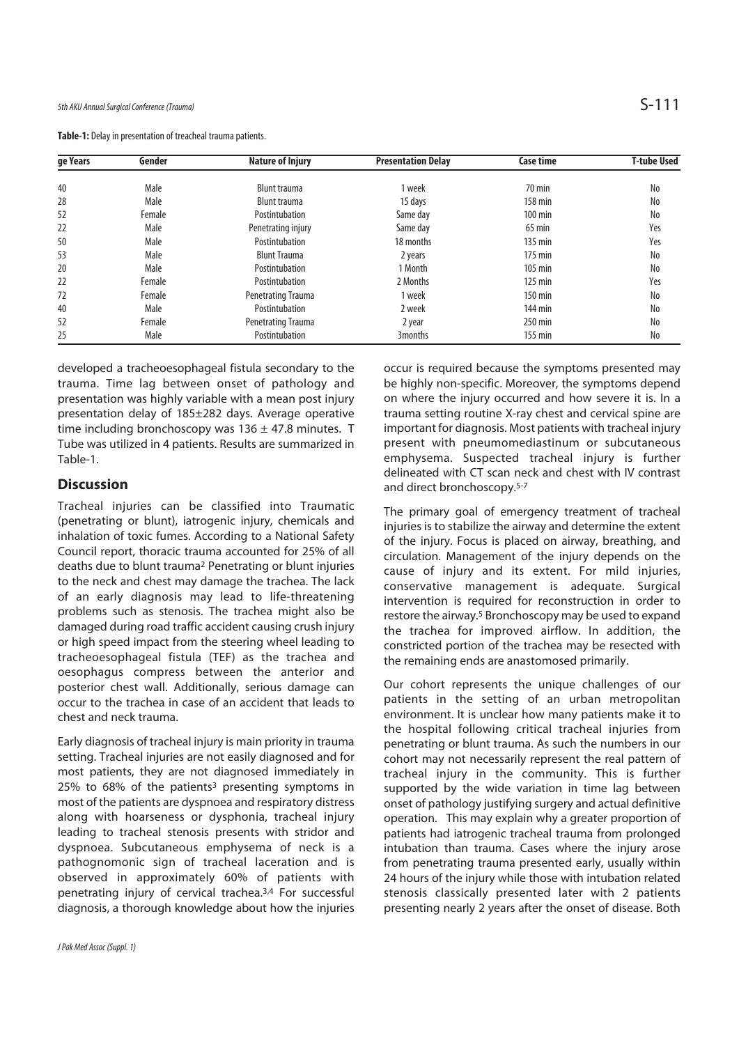**Table-1:** Delay in presentation of treacheal trauma patients.

| ge Years | Gender | <b>Nature of Injury</b>   | <b>Presentation Delay</b> | <b>Case time</b> | <b>T-tube Used</b> |
|----------|--------|---------------------------|---------------------------|------------------|--------------------|
| 40       | Male   | Blunt trauma              | 1 week                    | $70 \text{ min}$ | No                 |
| 28       | Male   | Blunt trauma              | 15 days                   | 158 min          | No                 |
| 52       | Female | Postintubation            | Same day                  | $100$ min        | No                 |
| 22       | Male   | Penetrating injury        | Same day                  | $65$ min         | Yes                |
| 50       | Male   | Postintubation            | 18 months                 | $135$ min        | Yes                |
| 53       | Male   | <b>Blunt Trauma</b>       | 2 years                   | $175$ min        | No                 |
| 20       | Male   | Postintubation            | 1 Month                   | $105$ min        | No                 |
| 22       | Female | Postintubation            | 2 Months                  | $125$ min        | Yes                |
| 72       | Female | Penetrating Trauma        | 1 week                    | 150 min          | No                 |
| 40       | Male   | Postintubation            | 2 week                    | $144$ min        | No                 |
| 52       | Female | <b>Penetrating Trauma</b> | 2 year                    | 250 min          | No                 |
| 25       | Male   | Postintubation            | 3 <sub>months</sub>       | $155$ min        | No                 |

developed a tracheoesophageal fistula secondary to the trauma. Time lag between onset of pathology and presentation was highly variable with a mean post injury presentation delay of 185±282 days. Average operative time including bronchoscopy was  $136 \pm 47.8$  minutes. T Tube was utilized in 4 patients. Results are summarized in Table-1.

# **Discussion**

Tracheal injuries can be classified into Traumatic (penetrating or blunt), iatrogenic injury, chemicals and inhalation of toxic fumes. According to a National Safety Council report, thoracic trauma accounted for 25% of all deaths due to blunt trauma2 Penetrating or blunt injuries to the neck and chest may damage the trachea. The lack of an early diagnosis may lead to life-threatening problems such as stenosis. The trachea might also be damaged during road traffic accident causing crush injury or high speed impact from the steering wheel leading to tracheoesophageal fistula (TEF) as the trachea and oesophagus compress between the anterior and posterior chest wall. Additionally, serious damage can occur to the trachea in case of an accident that leads to chest and neck trauma.

Early diagnosis of tracheal injury is main priority in trauma setting. Tracheal injuries are not easily diagnosed and for most patients, they are not diagnosed immediately in 25% to 68% of the patients3 presenting symptoms in most of the patients are dyspnoea and respiratory distress along with hoarseness or dysphonia, tracheal injury leading to tracheal stenosis presents with stridor and dyspnoea. Subcutaneous emphysema of neck is a pathognomonic sign of tracheal laceration and is observed in approximately 60% of patients with penetrating injury of cervical trachea.3,4 For successful diagnosis, a thorough knowledge about how the injuries occur is required because the symptoms presented may be highly non-specific. Moreover, the symptoms depend on where the injury occurred and how severe it is. In a trauma setting routine X-ray chest and cervical spine are important for diagnosis. Most patients with tracheal injury present with pneumomediastinum or subcutaneous emphysema. Suspected tracheal injury is further delineated with CT scan neck and chest with IV contrast and direct bronchoscopy.5-7

The primary goal of emergency treatment of tracheal injuries is to stabilize the airway and determine the extent of the injury. Focus is placed on airway, breathing, and circulation. Management of the injury depends on the cause of injury and its extent. For mild injuries, conservative management is adequate. Surgical intervention is required for reconstruction in order to restore the airway.5 Bronchoscopy may be used to expand the trachea for improved airflow. In addition, the constricted portion of the trachea may be resected with the remaining ends are anastomosed primarily.

Our cohort represents the unique challenges of our patients in the setting of an urban metropolitan environment. It is unclear how many patients make it to the hospital following critical tracheal injuries from penetrating or blunt trauma. As such the numbers in our cohort may not necessarily represent the real pattern of tracheal injury in the community. This is further supported by the wide variation in time lag between onset of pathology justifying surgery and actual definitive operation. This may explain why a greater proportion of patients had iatrogenic tracheal trauma from prolonged intubation than trauma. Cases where the injury arose from penetrating trauma presented early, usually within 24 hours of the injury while those with intubation related stenosis classically presented later with 2 patients presenting nearly 2 years after the onset of disease. Both